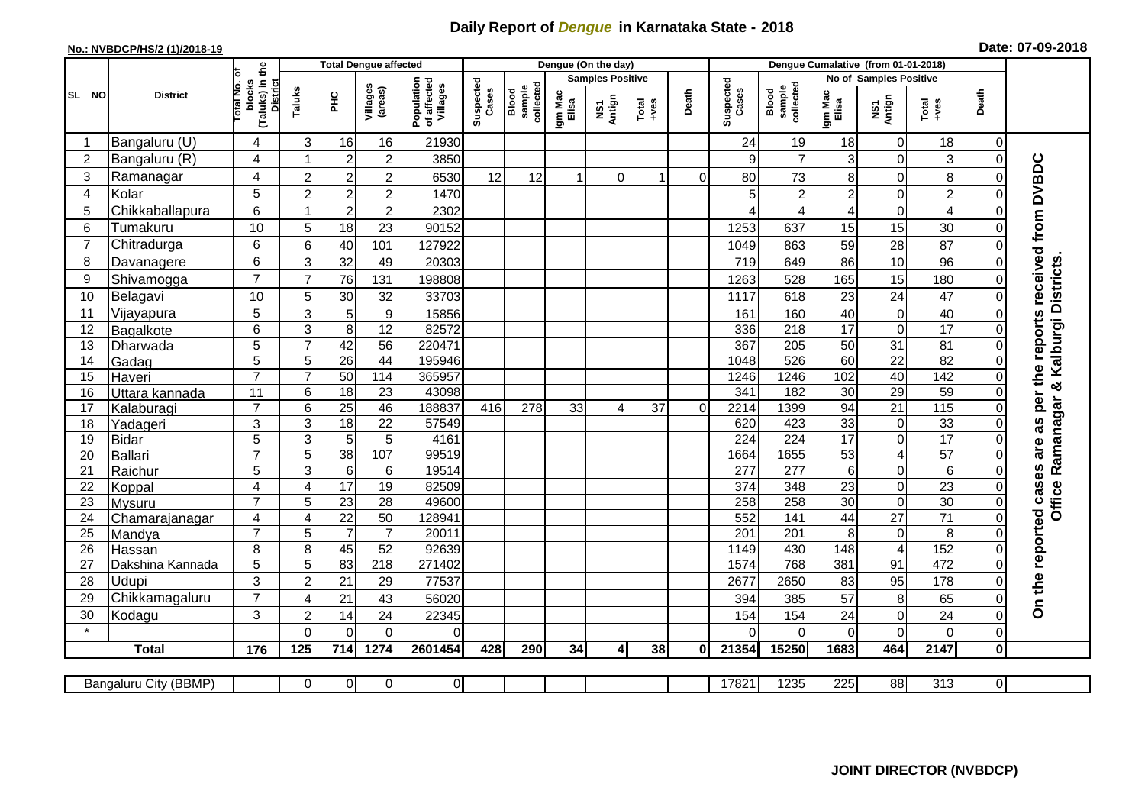## **Daily Report of** *Dengue* **in Karnataka State - 2018**

## **No.: NVBDCP/HS/2 (1)/2018-19 Date: 07-09-2018**

|                                                                                                                                                | <b>District</b>          |                                                      | <b>Total Dengue affected</b> |                  |                     |                                       |                                                    |                  |                         | Dengue (On the day) |       |                    |                                     |                  |                 |                           |                                    |                            |                                            |
|------------------------------------------------------------------------------------------------------------------------------------------------|--------------------------|------------------------------------------------------|------------------------------|------------------|---------------------|---------------------------------------|----------------------------------------------------|------------------|-------------------------|---------------------|-------|--------------------|-------------------------------------|------------------|-----------------|---------------------------|------------------------------------|----------------------------|--------------------------------------------|
| SL NO                                                                                                                                          |                          |                                                      |                              |                  |                     | Population<br>of affected<br>Villages |                                                    |                  | <b>Samples Positive</b> |                     |       |                    |                                     |                  |                 | No of Samples Positive    |                                    |                            |                                            |
|                                                                                                                                                |                          | (Taluks) in the<br>District<br>otal No. of<br>blocks | Taluks                       | <b>PHC</b>       | Villages<br>(areas) |                                       | Suspected<br>Cases<br>Blood<br>sample<br>collected | Igm Mac<br>Elisa | NS1<br>Antign           | $Tota$<br>$+ves$    | Death | Suspected<br>Cases | collected<br><b>Blood</b><br>sample | Igm Mac<br>Elisa | NS1<br>Antign   | Death<br>$Tota$<br>$+ves$ |                                    |                            |                                            |
|                                                                                                                                                | Bangaluru (U)            | $\overline{4}$                                       | 3                            | 16               | 16                  | 21930                                 |                                                    |                  |                         |                     |       |                    | 24                                  | 19               | 18              | 0                         | 18                                 | $\mathbf 0$                |                                            |
| $\overline{2}$                                                                                                                                 | Bangaluru (R)            | 4                                                    |                              | $\overline{2}$   | $\overline{c}$      | 3850                                  |                                                    |                  |                         |                     |       |                    | 9                                   | $\overline{7}$   | 3               | 0                         | 3                                  | $\mathbf 0$                |                                            |
| 3                                                                                                                                              | Ramanagar                | 4                                                    | $\overline{2}$               | $\overline{2}$   | $\overline{c}$      | 6530                                  | 12                                                 | 12               |                         | $\Omega$            | 1     | $\Omega$           | 80                                  | 73               | 8               | $\mathbf 0$               | 8                                  | $\Omega$                   | are as per the reports received from DVBDC |
| 4                                                                                                                                              | Kolar                    | 5                                                    | $\overline{2}$               | $\boldsymbol{2}$ | $\boldsymbol{2}$    | 1470                                  |                                                    |                  |                         |                     |       |                    | 5                                   | $\overline{2}$   | $\overline{2}$  | 0                         | $\overline{c}$                     | $\mathbf 0$                |                                            |
| 5                                                                                                                                              | Chikkaballapura          | 6                                                    |                              | $\boldsymbol{2}$ | $\mathbf 2$         | 2302                                  |                                                    |                  |                         |                     |       |                    | ⊿                                   | 4                | 4               | 0                         | $\overline{4}$                     | $\mathbf 0$                |                                            |
| 6                                                                                                                                              | Tumakuru                 | 10                                                   | 5                            | 18               | 23                  | 90152                                 |                                                    |                  |                         |                     |       |                    | 1253                                | 637              | 15              | 15                        | 30                                 | $\Omega$                   |                                            |
| $\overline{7}$                                                                                                                                 | Chitradurga              | 6                                                    | 6                            | 40               | 101                 | 127922                                |                                                    |                  |                         |                     |       |                    | 1049                                | 863              | 59              | 28                        | 87                                 | 0                          |                                            |
| 8                                                                                                                                              | Davanagere               | 6                                                    | 3                            | 32               | 49                  | 20303                                 |                                                    |                  |                         |                     |       |                    | 719                                 | 649              | 86              | 10                        | 96                                 | $\mathbf 0$                |                                            |
| 9                                                                                                                                              | Shivamogga               | $\overline{7}$                                       | $\overline{7}$               | 76               | 131                 | 198808                                |                                                    |                  |                         |                     |       |                    | 1263                                | 528              | 165             | 15                        | 180                                | $\Omega$                   |                                            |
| 10                                                                                                                                             | Belagavi                 | 10                                                   | 5                            | 30               | 32                  | 33703                                 |                                                    |                  |                         |                     |       |                    | 1117                                | 618              | 23              | 24                        | 47                                 | $\mathbf 0$                | <b>Districts</b>                           |
| 11                                                                                                                                             | Vijayapura               | 5                                                    | 3                            | 5                | $\boldsymbol{9}$    | 15856                                 |                                                    |                  |                         |                     |       |                    | 161                                 | 160              | 40              | 0                         | 40                                 | $\Omega$                   |                                            |
| 12                                                                                                                                             | Bagalkote                | 6                                                    | 3                            | 8                | 12                  | 82572                                 |                                                    |                  |                         |                     |       |                    | 336                                 | 218              | 17              | 0                         | 17                                 | $\Omega$                   | & Kalburgi                                 |
| 13                                                                                                                                             | Dharwada                 | 5                                                    | $\overline{7}$               | 42               | $\overline{56}$     | 220471                                |                                                    |                  |                         |                     |       |                    | 367                                 | 205              | 50              | $\overline{31}$           | 81                                 | $\mathbf 0$                |                                            |
| 14                                                                                                                                             | Gadag                    | $\overline{5}$                                       | 5                            | $\overline{26}$  | $\overline{44}$     | 195946                                |                                                    |                  |                         |                     |       |                    | 1048                                | 526              | 60              | $\overline{22}$           | 82                                 | $\mathbf 0$                |                                            |
| 15                                                                                                                                             | Haveri                   | $\overline{7}$                                       | $\overline{7}$               | 50               | 114                 | 365957                                |                                                    |                  |                         |                     |       |                    | 1246                                | 1246             | 102             | 40                        | 142                                | $\mathbf 0$                |                                            |
| 16                                                                                                                                             | Uttara kannada           | 11                                                   | 6                            | $\overline{18}$  | 23                  | 43098                                 |                                                    |                  |                         |                     |       |                    | 341                                 | 182              | 30              | 29                        | 59                                 | $\Omega$                   |                                            |
| 17                                                                                                                                             | Kalaburagi               | $\overline{7}$                                       | 6                            | 25               | 46                  | 188837                                | 416                                                | 278              | 33                      | 4                   | 37    | $\Omega$           | 2214                                | 1399             | 94              | 21                        | 115                                | $\mathbf 0$                | Ramanagar                                  |
| 18                                                                                                                                             | Yadageri                 | 3                                                    | 3                            | $\overline{18}$  | 22                  | 57549                                 |                                                    |                  |                         |                     |       |                    | 620                                 | 423              | 33              | $\boldsymbol{0}$          | 33                                 | $\Omega$                   |                                            |
| 19                                                                                                                                             | Bidar                    | $\overline{5}$                                       | 3                            | $\overline{5}$   | 5                   | 4161                                  |                                                    |                  |                         |                     |       |                    | 224                                 | 224              | $\overline{17}$ | $\overline{0}$            | 17                                 | $\Omega$                   |                                            |
| 20                                                                                                                                             | Ballari                  | $\overline{7}$                                       | 5                            | 38               | 107                 | 99519                                 |                                                    |                  |                         |                     |       |                    | 1664                                | 1655             | 53              | $\overline{\mathbf{4}}$   | 57                                 | $\mathbf 0$                |                                            |
| 21                                                                                                                                             | Raichur                  | $\overline{5}$                                       | 3                            | $6\phantom{1}6$  | 6                   | 19514                                 |                                                    |                  |                         |                     |       |                    | $\overline{277}$                    | $\overline{277}$ | $6\phantom{1}$  | 0                         | $\overline{6}$                     | $\mathbf 0$                |                                            |
| 22                                                                                                                                             | Koppal                   | $\overline{4}$<br>$\overline{7}$                     | $\overline{4}$<br>5          | 17<br>23         | 19<br>28            | 82509<br>49600                        |                                                    |                  |                         |                     |       |                    | 374<br>258                          | 348<br>258       | 23<br>30        | 0<br>$\overline{0}$       | $\overline{23}$<br>$\overline{30}$ | $\mathbf 0$<br>$\mathbf 0$ | <b>Office</b>                              |
| 23<br>24                                                                                                                                       | Mysuru                   | $\overline{4}$                                       | $\overline{4}$               | $\overline{22}$  | 50                  | 128941                                |                                                    |                  |                         |                     |       |                    | 552                                 | 141              | 44              | $\overline{27}$           | $\overline{71}$                    | $\mathbf 0$                |                                            |
| 25                                                                                                                                             | Chamarajanagar<br>Mandya | $\overline{7}$                                       | 5                            | $\overline{7}$   | $\overline{7}$      | 20011                                 |                                                    |                  |                         |                     |       |                    | 201                                 | 201              | 8               | $\pmb{0}$                 | 8                                  | $\Omega$                   |                                            |
| 26                                                                                                                                             | Hassan                   | 8                                                    | 8                            | 45               | 52                  | 92639                                 |                                                    |                  |                         |                     |       |                    | 1149                                | 430              | 148             | $\overline{4}$            | 152                                | $\mathbf 0$                |                                            |
| 27                                                                                                                                             | Dakshina Kannada         | 5                                                    | 5                            | 83               | $\overline{218}$    | 271402                                |                                                    |                  |                         |                     |       |                    | 1574                                | 768              | 381             | 91                        | 472                                | $\mathbf 0$                |                                            |
| 28                                                                                                                                             | Udupi                    | 3                                                    | $\overline{2}$               | 21               | 29                  | 77537                                 |                                                    |                  |                         |                     |       |                    | 2677                                | 2650             | 83              | 95                        | 178                                | $\Omega$                   |                                            |
| 29                                                                                                                                             | Chikkamagaluru           | $\overline{7}$                                       | 4                            | 21               | 43                  | 56020                                 |                                                    |                  |                         |                     |       |                    | 394                                 | 385              | 57              | 8                         | 65                                 | 0                          | On the reported cases                      |
| 30                                                                                                                                             | Kodagu                   | 3                                                    | $\overline{2}$               | 14               | 24                  | 22345                                 |                                                    |                  |                         |                     |       |                    | 154                                 | 154              | 24              | 0                         | 24                                 | $\mathbf 0$                |                                            |
| $\star$                                                                                                                                        |                          |                                                      | $\Omega$                     | $\Omega$         | $\Omega$            | $\Omega$                              |                                                    |                  |                         |                     |       |                    | ∩                                   | $\Omega$         | 0               | $\overline{0}$            | $\overline{O}$                     | $\mathbf 0$                |                                            |
|                                                                                                                                                | <b>Total</b>             | 176                                                  | 125                          | 714              | 1274                | 2601454                               | 428                                                | 290              | 34                      | $\overline{4}$      | 38    | Οl                 | 21354                               | 15250            | 1683            | 464                       | 2147                               | $\mathbf 0$                |                                            |
|                                                                                                                                                |                          |                                                      |                              |                  |                     |                                       |                                                    |                  |                         |                     |       |                    |                                     |                  |                 |                           |                                    |                            |                                            |
| O<br>$\overline{0}$<br>17821<br>1235<br>225<br>88<br>313<br>$\overline{0}$<br><b>Bangaluru City (BBMP)</b><br>$\overline{0}$<br>$\overline{0}$ |                          |                                                      |                              |                  |                     |                                       |                                                    |                  |                         |                     |       |                    |                                     |                  |                 |                           |                                    |                            |                                            |